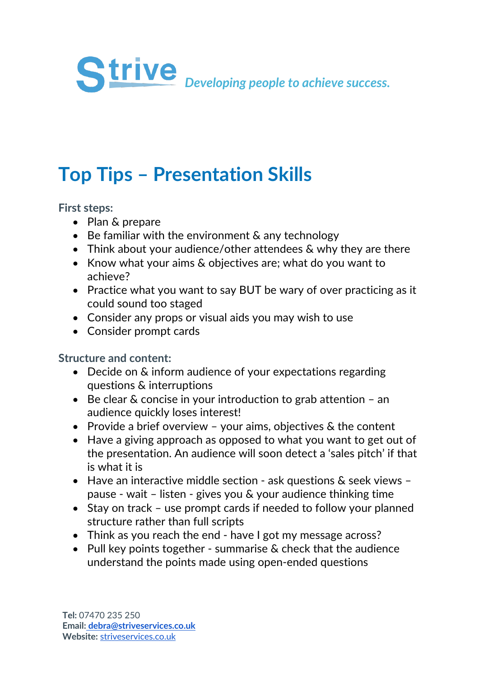

## **Top Tips – Presentation Skills**

**First steps:**

- Plan & prepare
- Be familiar with the environment & any technology
- Think about your audience/other attendees & why they are there
- Know what your aims & objectives are; what do you want to achieve?
- Practice what you want to say BUT be wary of over practicing as it could sound too staged
- Consider any props or visual aids you may wish to use
- Consider prompt cards

## **Structure and content:**

- Decide on & inform audience of your expectations regarding questions & interruptions
- Be clear & concise in your introduction to grab attention an audience quickly loses interest!
- Provide a brief overview your aims, objectives & the content
- Have a giving approach as opposed to what you want to get out of the presentation. An audience will soon detect a 'sales pitch' if that is what it is
- Have an interactive middle section ask questions & seek views pause - wait – listen - gives you & your audience thinking time
- Stay on track use prompt cards if needed to follow your planned structure rather than full scripts
- Think as you reach the end have I got my message across?
- Pull key points together summarise & check that the audience understand the points made using open-ended questions